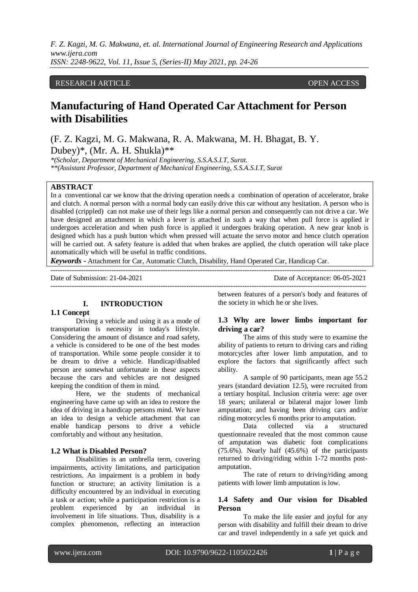*F. Z. Kagzi, M. G. Makwana, et. al. International Journal of Engineering Research and Applications www.ijera.com ISSN: 2248-9622, Vol. 11, Issue 5, (Series-II) May 2021, pp. 24-26*

# RESEARCH ARTICLE **CONSERVERS** OPEN ACCESS

# **Manufacturing of Hand Operated Car Attachment for Person with Disabilities**

(F. Z. Kagzi, M. G. Makwana, R. A. Makwana, M. H. Bhagat, B. Y. Dubey)\*, (Mr. A. H. Shukla)\*\*

*\*(Scholar, Department of Mechanical Engineering, S.S.A.S.I.T, Surat. \*\*(Assistant Professor, Department of Mechanical Engineering, S.S.A.S.I.T, Surat*

## **ABSTRACT**

In a conventional car we know that the driving operation needs a combination of operation of accelerator, brake and clutch. A normal person with a normal body can easily drive this car without any hesitation. A person who is disabled (crippled) can not make use of their legs like a normal person and consequently can not drive a car. We have designed an attachment in which a lever is attached in such a way that when pull force is applied ir undergoes acceleration and when push force is applied it undergoes braking operation. A new gear knob is designed which has a push button which when pressed will actuate the servo motor and hence clutch operation will be carried out. A safety feature is added that when brakes are applied, the clutch operation will take place automatically which will be useful in traffic conditions.

---------------------------------------------------------------------------------------------------------------------------------------

---------------------------------------------------------------------------------------------------------------------------------------

*Keywords* **-** Attachment for Car, Automatic Clutch, Disability, Hand Operated Car, Handicap Car.

Date of Submission: 21-04-2021 Date of Acceptance: 06-05-2021

# **I. INTRODUCTION**

### **1.1 Concept**

Driving a vehicle and using it as a mode of transportation is necessity in today's lifestyle. Considering the amount of distance and road safety, a vehicle is considered to be one of the best modes of transportation. While some people consider it to be dream to drive a vehicle. Handicap/disabled person are somewhat unfortunate in these aspects because the cars and vehicles are not designed keeping the condition of them in mind.

Here, we the students of mechanical engineering have came up with an idea to restore the idea of driving in a handicap persons mind. We have an idea to design a vehicle attachment that can enable handicap persons to drive a vehicle comfortably and without any hesitation.

## **1.2 What is Disabled Person?**

Disabilities is an umbrella term, covering impairments, activity limitations, and participation restrictions. An impairment is a problem in body function or structure; an activity limitation is a difficulty encountered by an individual in executing a task or action; while a participation restriction is a problem experienced by an individual in involvement in life situations. Thus, disability is a complex phenomenon, reflecting an interaction

between features of a person's body and features of the society in which he or she lives.

# **1.3 Why are lower limbs important for driving a car?**

The aims of this study were to examine the ability of patients to return to driving cars and riding motorcycles after lower limb amputation, and to explore the factors that significantly affect such ability.

A sample of 90 participants, mean age 55.2 years (standard deviation 12.5), were recruited from a tertiary hospital. Inclusion criteria were: age over 18 years; unilateral or bilateral major lower limb amputation; and having been driving cars and/or riding motorcycles 6 months prior to amputation.

Data collected via a structured questionnaire revealed that the most common cause of amputation was diabetic foot complications  $(75.6\%)$ . Nearly half  $(45.6\%)$  of the participants returned to driving/riding within 1-72 months postamputation.

The rate of return to driving/riding among patients with lower limb amputation is low.

## **1.4 Safety and Our vision for Disabled Person**

To make the life easier and joyful for any person with disability and fulfill their dream to drive car and travel independently in a safe yet quick and

l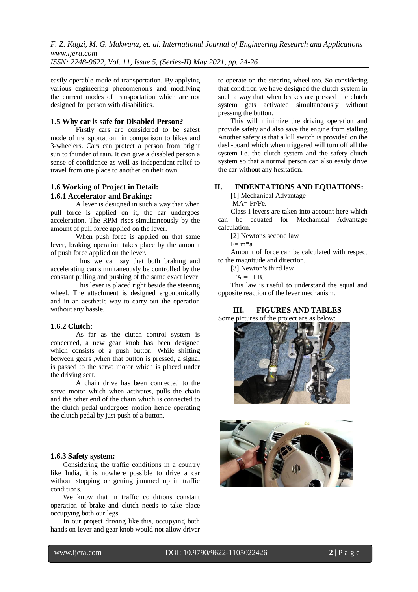*F. Z. Kagzi, M. G. Makwana, et. al. International Journal of Engineering Research and Applications www.ijera.com ISSN: 2248-9622, Vol. 11, Issue 5, (Series-II) May 2021, pp. 24-26*

easily operable mode of transportation. By applying various engineering phenomenon's and modifying the current modes of transportation which are not designed for person with disabilities.

## **1.5 Why car is safe for Disabled Person?**

Firstly cars are considered to be safest mode of transportation in comparison to bikes and 3-wheelers. Cars can protect a person from bright sun to thunder of rain. It can give a disabled person a sense of confidence as well as independent relief to travel from one place to another on their own.

## **1.6 Working of Project in Detail: 1.6.1 Accelerator and Braking:**

A lever is designed in such a way that when pull force is applied on it, the car undergoes acceleration. The RPM rises simultaneously by the amount of pull force applied on the lever.

When push force is applied on that same lever, braking operation takes place by the amount of push force applied on the lever.

Thus we can say that both braking and accelerating can simultaneously be controlled by the constant pulling and pushing of the same exact lever

This lever is placed right beside the steering wheel. The attachment is designed ergonomically and in an aesthetic way to carry out the operation without any hassle.

# **1.6.2 Clutch:**

As far as the clutch control system is concerned, a new gear knob has been designed which consists of a push button. While shifting between gears ,when that button is pressed, a signal is passed to the servo motor which is placed under the driving seat.

A chain drive has been connected to the servo motor which when activates, pulls the chain and the other end of the chain which is connected to the clutch pedal undergoes motion hence operating the clutch pedal by just push of a button.

### **1.6.3 Safety system:**

Considering the traffic conditions in a country like India, it is nowhere possible to drive a car without stopping or getting jammed up in traffic conditions.

We know that in traffic conditions constant operation of brake and clutch needs to take place occupying both our legs.

In our project driving like this, occupying both hands on lever and gear knob would not allow driver to operate on the steering wheel too. So considering that condition we have designed the clutch system in such a way that when brakes are pressed the clutch system gets activated simultaneously without pressing the button.

This will minimize the driving operation and provide safety and also save the engine from stalling. Another safety is that a kill switch is provided on the dash-board which when triggered will turn off all the system i.e. the clutch system and the safety clutch system so that a normal person can also easily drive the car without any hesitation.

## **II. INDENTATIONS AND EQUATIONS:**

[1] Mechanical Advantage

 $MA = Fr/Fe$ .

Class I levers are taken into account here which can be equated for Mechanical Advantage calculation.

[2] Newtons second law

 $F= m*$ a

Amount of force can be calculated with respect to the magnitude and direction.

[3] Newton's third law

 $FA = -FB$ .

This law is useful to understand the equal and opposite reaction of the lever mechanism.

### **III. FIGURES AND TABLES** Some pictures of the project are as below:





l